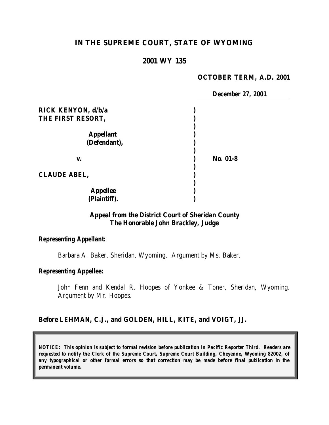# **IN THE SUPREME COURT, STATE OF WYOMING**

### **2001 WY 135**

#### **OCTOBER TERM, A.D. 2001**

|                                  | <b>December 27, 2001</b> |
|----------------------------------|--------------------------|
| RICK KENYON, d/b/a               |                          |
| THE FIRST RESORT,                |                          |
|                                  |                          |
| <b>Appellant</b><br>(Defendant), |                          |
|                                  |                          |
| v.                               | No. 01-8                 |
| <b>CLAUDE ABEL,</b>              |                          |
| <b>Appellee</b>                  |                          |
| (Plaintiff).                     |                          |

#### **Appeal from the District Court of Sheridan County The Honorable John Brackley, Judge**

#### *Representing Appellant:*

Barbara A. Baker, Sheridan, Wyoming. Argument by Ms. Baker.

### *Representing Appellee:*

John Fenn and Kendal R. Hoopes of Yonkee & Toner, Sheridan, Wyoming. Argument by Mr. Hoopes.

#### **Before LEHMAN, C.J., and GOLDEN, HILL, KITE, and VOIGT, JJ.**

*NOTICE: This opinion is subject to formal revision before publication in Pacific Reporter Third. Readers are requested to notify the Clerk of the Supreme Court, Supreme Court Building, Cheyenne, Wyoming 82002, of any typographical or other formal errors so that correction may be made before final publication in the permanent volume.*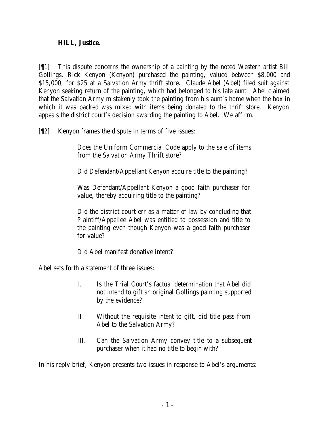## **HILL, Justice.**

[¶1] This dispute concerns the ownership of a painting by the noted Western artist Bill Gollings. Rick Kenyon (Kenyon) purchased the painting, valued between \$8,000 and \$15,000, for \$25 at a Salvation Army thrift store. Claude Abel (Abel) filed suit against Kenyon seeking return of the painting, which had belonged to his late aunt. Abel claimed that the Salvation Army mistakenly took the painting from his aunt's home when the box in which it was packed was mixed with items being donated to the thrift store. Kenyon appeals the district court's decision awarding the painting to Abel. We affirm.

[¶2] Kenyon frames the dispute in terms of five issues:

Does the Uniform Commercial Code apply to the sale of items from the Salvation Army Thrift store?

Did Defendant/Appellant Kenyon acquire title to the painting?

Was Defendant/Appellant Kenyon a good faith purchaser for value, thereby acquiring title to the painting?

Did the district court err as a matter of law by concluding that Plaintiff/Appellee Abel was entitled to possession and title to the painting even though Kenyon was a good faith purchaser for value?

Did Abel manifest donative intent?

Abel sets forth a statement of three issues:

- I. Is the Trial Court's factual determination that Abel did not intend to gift an original Gollings painting supported by the evidence?
- II. Without the requisite intent to gift, did title pass from Abel to the Salvation Army?
- III. Can the Salvation Army convey title to a subsequent purchaser when it had no title to begin with?

In his reply brief, Kenyon presents two issues in response to Abel's arguments: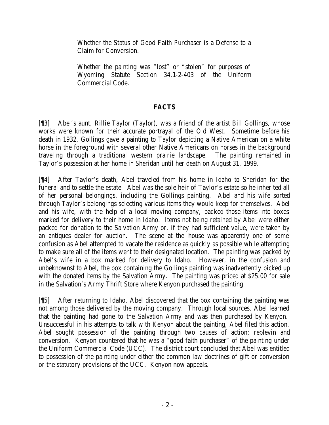Whether the Status of Good Faith Purchaser is a Defense to a Claim for Conversion.

Whether the painting was "lost" or "stolen" for purposes of Wyoming Statute Section 34.1-2-403 of the Uniform Commercial Code.

# **FACTS**

[¶3] Abel's aunt, Rillie Taylor (Taylor), was a friend of the artist Bill Gollings, whose works were known for their accurate portrayal of the Old West. Sometime before his death in 1932, Gollings gave a painting to Taylor depicting a Native American on a white horse in the foreground with several other Native Americans on horses in the background traveling through a traditional western prairie landscape. The painting remained in Taylor's possession at her home in Sheridan until her death on August 31, 1999.

[¶4] After Taylor's death, Abel traveled from his home in Idaho to Sheridan for the funeral and to settle the estate. Abel was the sole heir of Taylor's estate so he inherited all of her personal belongings, including the Gollings painting. Abel and his wife sorted through Taylor's belongings selecting various items they would keep for themselves. Abel and his wife, with the help of a local moving company, packed those items into boxes marked for delivery to their home in Idaho. Items not being retained by Abel were either packed for donation to the Salvation Army or, if they had sufficient value, were taken by an antiques dealer for auction. The scene at the house was apparently one of some confusion as Abel attempted to vacate the residence as quickly as possible while attempting to make sure all of the items went to their designated location. The painting was packed by Abel's wife in a box marked for delivery to Idaho. However, in the confusion and unbeknownst to Abel, the box containing the Gollings painting was inadvertently picked up with the donated items by the Salvation Army. The painting was priced at \$25.00 for sale in the Salvation's Army Thrift Store where Kenyon purchased the painting.

[¶5] After returning to Idaho, Abel discovered that the box containing the painting was not among those delivered by the moving company. Through local sources, Abel learned that the painting had gone to the Salvation Army and was then purchased by Kenyon. Unsuccessful in his attempts to talk with Kenyon about the painting, Abel filed this action. Abel sought possession of the painting through two causes of action: replevin and conversion. Kenyon countered that he was a "good faith purchaser" of the painting under the Uniform Commercial Code (UCC). The district court concluded that Abel was entitled to possession of the painting under either the common law doctrines of gift or conversion or the statutory provisions of the UCC. Kenyon now appeals.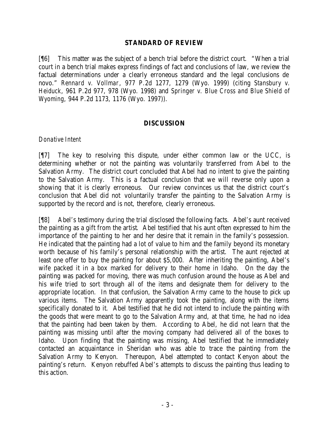#### **STANDARD OF REVIEW**

[¶6] This matter was the subject of a bench trial before the district court. "When a trial court in a bench trial makes express findings of fact and conclusions of law, we review the factual determinations under a clearly erroneous standard and the legal conclusions de novo." *Rennard v. Vollmar*, 977 P.2d 1277, 1279 (Wyo. 1999) (citing *Stansbury v. Heiduck*, 961 P.2d 977, 978 (Wyo. 1998) and *Springer v. Blue Cross and Blue Shield of Wyoming*, 944 P.2d 1173, 1176 (Wyo. 1997)).

### **DISCUSSION**

## *Donative Intent*

[¶7] The key to resolving this dispute, under either common law or the UCC, is determining whether or not the painting was voluntarily transferred from Abel to the Salvation Army. The district court concluded that Abel had no intent to give the painting to the Salvation Army. This is a factual conclusion that we will reverse only upon a showing that it is clearly erroneous. Our review convinces us that the district court's conclusion that Abel did not voluntarily transfer the painting to the Salvation Army is supported by the record and is not, therefore, clearly erroneous.

[¶8] Abel's testimony during the trial disclosed the following facts. Abel's aunt received the painting as a gift from the artist. Abel testified that his aunt often expressed to him the importance of the painting to her and her desire that it remain in the family's possession. He indicated that the painting had a lot of value to him and the family beyond its monetary worth because of his family's personal relationship with the artist. The aunt rejected at least one offer to buy the painting for about \$5,000. After inheriting the painting, Abel's wife packed it in a box marked for delivery to their home in Idaho. On the day the painting was packed for moving, there was much confusion around the house as Abel and his wife tried to sort through all of the items and designate them for delivery to the appropriate location. In that confusion, the Salvation Army came to the house to pick up various items. The Salvation Army apparently took the painting, along with the items specifically donated to it. Abel testified that he did not intend to include the painting with the goods that were meant to go to the Salvation Army and, at that time, he had no idea that the painting had been taken by them. According to Abel, he did not learn that the painting was missing until after the moving company had delivered all of the boxes to Idaho. Upon finding that the painting was missing, Abel testified that he immediately contacted an acquaintance in Sheridan who was able to trace the painting from the Salvation Army to Kenyon. Thereupon, Abel attempted to contact Kenyon about the painting's return. Kenyon rebuffed Abel's attempts to discuss the painting thus leading to this action.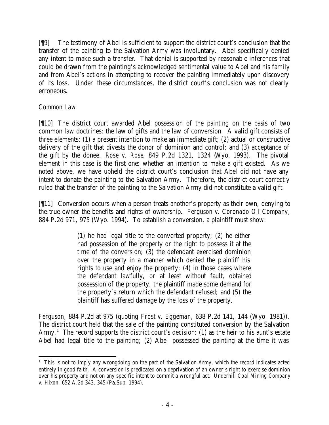[¶9] The testimony of Abel is sufficient to support the district court's conclusion that the transfer of the painting to the Salvation Army was involuntary. Abel specifically denied any intent to make such a transfer. That denial is supported by reasonable inferences that could be drawn from the painting's acknowledged sentimental value to Abel and his family and from Abel's actions in attempting to recover the painting immediately upon discovery of its loss. Under these circumstances, the district court's conclusion was not clearly erroneous.

# *Common Law*

[¶10] The district court awarded Abel possession of the painting on the basis of two common law doctrines: the law of gifts and the law of conversion. A valid gift consists of three elements: (1) a present intention to make an immediate gift; (2) actual or constructive delivery of the gift that divests the donor of dominion and control; and (3) acceptance of the gift by the donee. *Rose v. Rose*, 849 P.2d 1321, 1324 (Wyo. 1993). The pivotal element in this case is the first one: whether an intention to make a gift existed. As we noted above, we have upheld the district court's conclusion that Abel did not have any intent to donate the painting to the Salvation Army. Therefore, the district court correctly ruled that the transfer of the painting to the Salvation Army did not constitute a valid gift.

[¶11] Conversion occurs when a person treats another's property as their own, denying to the true owner the benefits and rights of ownership. *Ferguson v. Coronado Oil Company*, 884 P.2d 971, 975 (Wyo. 1994). To establish a conversion, a plaintiff must show:

> (1) he had legal title to the converted property; (2) he either had possession of the property or the right to possess it at the time of the conversion; (3) the defendant exercised dominion over the property in a manner which denied the plaintiff his rights to use and enjoy the property; (4) in those cases where the defendant lawfully, or at least without fault, obtained possession of the property, the plaintiff made some demand for the property's return which the defendant refused; and (5) the plaintiff has suffered damage by the loss of the property.

*Ferguson*, 884 P.2d at 975 (quoting *Frost v. Eggeman*, 638 P.2d 141, 144 (Wyo. 1981)). The district court held that the sale of the painting constituted conversion by the Salvation Army.<sup>1</sup> The record supports the district court's decision: (1) as the heir to his aunt's estate Abel had legal title to the painting; (2) Abel possessed the painting at the time it was

 <sup>1</sup> This is not to imply any wrongdoing on the part of the Salvation Army, which the record indicates acted entirely in good faith. A conversion is predicated on a deprivation of an owner's right to exercise dominion over his property and not on any specific intent to commit a wrongful act. *Underhill Coal Mining Company v. Hixon*, 652 A.2d 343, 345 (Pa.Sup. 1994).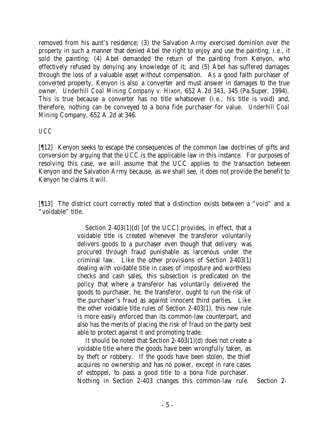removed from his aunt's residence; (3) the Salvation Army exercised dominion over the property in such a manner that denied Abel the right to enjoy and use the painting, *i.e.*, it sold the painting; (4) Abel demanded the return of the painting from Kenyon, who effectively refused by denying any knowledge of it; and (5) Abel has suffered damages through the loss of a valuable asset without compensation. As a good faith purchaser of converted property, Kenyon is also a converter and must answer in damages to the true owner. *Underhill Coal Mining Company v. Hixon*, 652 A.2d 343, 345 (Pa.Super. 1994). This is true because a converter has no title whatsoever (*i.e*., his title is void) and, therefore, nothing can be conveyed to a bona fide purchaser for value. *Underhill Coal Mining* Company, 652 A.2d at 346.

*UCC*

[¶12] Kenyon seeks to escape the consequences of the common law doctrines of gifts and conversion by arguing that the UCC is the applicable law in this instance. For purposes of resolving this case, we will assume that the UCC applies to the transaction between Kenyon and the Salvation Army because, as we shall see, it does not provide the benefit to Kenyon he claims it will.

[¶13] The district court correctly noted that a distinction exists between a "void" and a "voidable" title.

> Section 2-403(1)(d) [of the UCC] provides, in effect, that a voidable title is created whenever the transferor voluntarily delivers goods to a purchaser even though that delivery was procured through fraud punishable as larcenous under the criminal law. Like the other provisions of Section 2-403(1) dealing with voidable title in cases of imposture and worthless checks and cash sales, this subsection is predicated on the policy that where a transferor has voluntarily delivered the goods to purchaser, he, the transferor, ought to run the risk of the purchaser's fraud as against innocent third parties. Like the other voidable title rules of Section 2-403(1), this new rule is more easily enforced than its common-law counterpart, and also has the merits of placing the risk of fraud on the party best able to protect against it and promoting trade.

 It should be noted that Section 2-403(1)(d) does not create a voidable title where the goods have been wrongfully taken, as by theft or robbery. If the goods have been stolen, the thief acquires no ownership and has no power, except in rare cases of estoppel, to pass a good title to a bona fide purchaser. Nothing in Section 2-403 changes this common-law rule. Section 2-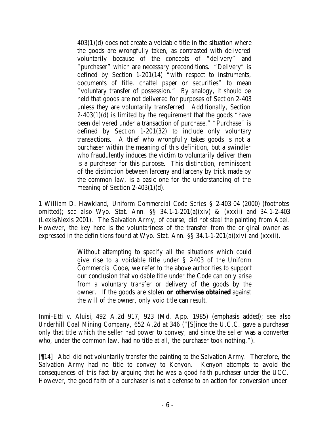403(1)(d) does not create a voidable title in the situation where the goods are wrongfully taken, as contrasted with delivered voluntarily because of the concepts of "delivery" and "purchaser" which are necessary preconditions. "Delivery" is defined by Section 1-201(14) "with respect to instruments, documents of title, chattel paper or securities" to mean "voluntary transfer of possession." By analogy, it should be held that goods are not delivered for purposes of Section 2-403 unless they are voluntarily transferred. Additionally, Section  $2-403(1)(d)$  is limited by the requirement that the goods "have been delivered under a transaction of purchase." "Purchase" is defined by Section 1-201(32) to include only voluntary transactions. A thief who wrongfully takes goods is not a purchaser within the meaning of this definition, but a swindler who fraudulently induces the victim to voluntarily deliver them is a purchaser for this purpose. This distinction, reminiscent of the distinction between larceny and larceny by trick made by the common law, is a basic one for the understanding of the meaning of Section 2-403(1)(d).

1 William D. Hawkland, *Uniform Commercial Code Series* § 2-403:04 (2000) (footnotes omitted); *see also* Wyo. Stat. Ann. §§ 34.1-1-201(a)(xiv) & (xxxii) and 34.1-2-403 (Lexis/Nexis 2001). The Salvation Army, of course, did not steal the painting from Abel. However, the key here is the voluntariness of the transfer from the original owner as expressed in the definitions found at Wyo. Stat. Ann. §§ 34.1-1-201(a)(xiv) and (xxxii).

> Without attempting to specify all the situations which could give rise to a voidable title under § 2-403 of the Uniform Commercial Code, we refer to the above authorities to support our conclusion that voidable title under the Code can only arise from a voluntary transfer or delivery of the goods by the owner. If the goods are stolen **or otherwise obtained** against the will of the owner, only void title can result.

*Inmi-Etti v. Aluisi*, 492 A.2d 917, 923 (Md. App. 1985) (emphasis added); *see also Underhill Coal Mining Company*, 652 A.2d at 346 ("[S]ince the U.C.C. gave a purchaser only that title which the seller had power to convey, and since the seller was a converter who, under the common law, had no title at all, the purchaser took nothing.").

[¶14] Abel did not voluntarily transfer the painting to the Salvation Army. Therefore, the Salvation Army had no title to convey to Kenyon. Kenyon attempts to avoid the consequences of this fact by arguing that he was a good faith purchaser under the UCC. However, the good faith of a purchaser is not a defense to an action for conversion under